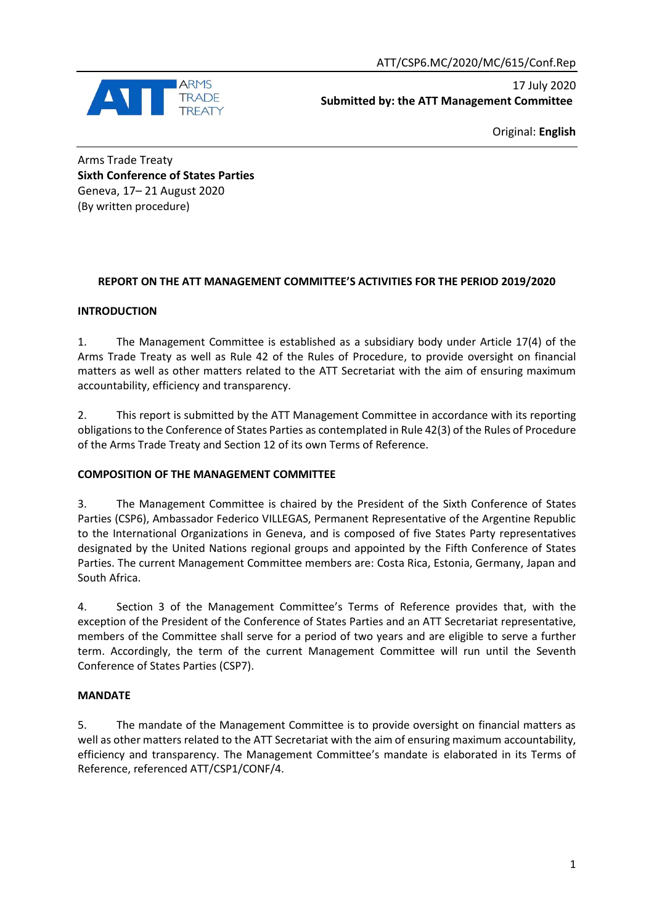

17 July 2020 **Submitted by: the ATT Management Committee**

Original: **English**

Arms Trade Treaty **Sixth Conference of States Parties** Geneva, 17– 21 August 2020 (By written procedure)

### **REPORT ON THE ATT MANAGEMENT COMMITTEE'S ACTIVITIES FOR THE PERIOD 2019/2020**

### **INTRODUCTION**

1. The Management Committee is established as a subsidiary body under Article 17(4) of the Arms Trade Treaty as well as Rule 42 of the Rules of Procedure, to provide oversight on financial matters as well as other matters related to the ATT Secretariat with the aim of ensuring maximum accountability, efficiency and transparency.

2. This report is submitted by the ATT Management Committee in accordance with its reporting obligations to the Conference of States Parties as contemplated in Rule 42(3) of the Rules of Procedure of the Arms Trade Treaty and Section 12 of its own Terms of Reference.

### **COMPOSITION OF THE MANAGEMENT COMMITTEE**

3. The Management Committee is chaired by the President of the Sixth Conference of States Parties (CSP6), Ambassador Federico VILLEGAS, Permanent Representative of the Argentine Republic to the International Organizations in Geneva, and is composed of five States Party representatives designated by the United Nations regional groups and appointed by the Fifth Conference of States Parties. The current Management Committee members are: Costa Rica, Estonia, Germany, Japan and South Africa.

4. Section 3 of the Management Committee's Terms of Reference provides that, with the exception of the President of the Conference of States Parties and an ATT Secretariat representative, members of the Committee shall serve for a period of two years and are eligible to serve a further term. Accordingly, the term of the current Management Committee will run until the Seventh Conference of States Parties (CSP7).

### **MANDATE**

5. The mandate of the Management Committee is to provide oversight on financial matters as well as other matters related to the ATT Secretariat with the aim of ensuring maximum accountability, efficiency and transparency. The Management Committee's mandate is elaborated in its Terms of Reference, referenced ATT/CSP1/CONF/4.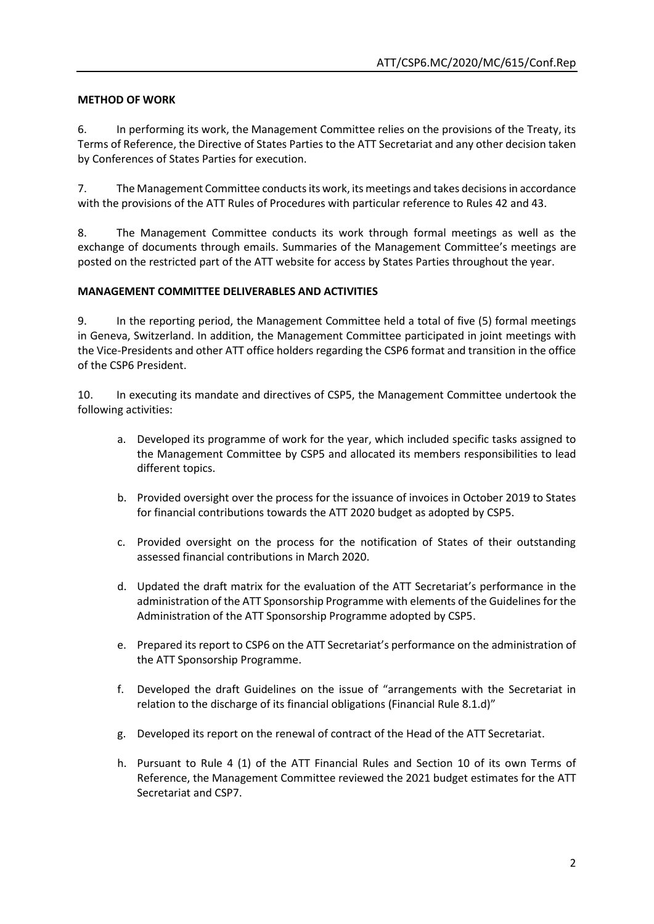# **METHOD OF WORK**

6. In performing its work, the Management Committee relies on the provisions of the Treaty, its Terms of Reference, the Directive of States Parties to the ATT Secretariat and any other decision taken by Conferences of States Parties for execution.

7. The Management Committee conducts its work, its meetings and takes decisions in accordance with the provisions of the ATT Rules of Procedures with particular reference to Rules 42 and 43.

8. The Management Committee conducts its work through formal meetings as well as the exchange of documents through emails. Summaries of the Management Committee's meetings are posted on the restricted part of the ATT website for access by States Parties throughout the year.

### **MANAGEMENT COMMITTEE DELIVERABLES AND ACTIVITIES**

9. In the reporting period, the Management Committee held a total of five (5) formal meetings in Geneva, Switzerland. In addition, the Management Committee participated in joint meetings with the Vice-Presidents and other ATT office holders regarding the CSP6 format and transition in the office of the CSP6 President.

10. In executing its mandate and directives of CSP5, the Management Committee undertook the following activities:

- a. Developed its programme of work for the year, which included specific tasks assigned to the Management Committee by CSP5 and allocated its members responsibilities to lead different topics.
- b. Provided oversight over the process for the issuance of invoices in October 2019 to States for financial contributions towards the ATT 2020 budget as adopted by CSP5.
- c. Provided oversight on the process for the notification of States of their outstanding assessed financial contributions in March 2020.
- d. Updated the draft matrix for the evaluation of the ATT Secretariat's performance in the administration of the ATT Sponsorship Programme with elements of the Guidelines for the Administration of the ATT Sponsorship Programme adopted by CSP5.
- e. Prepared its report to CSP6 on the ATT Secretariat's performance on the administration of the ATT Sponsorship Programme.
- f. Developed the draft Guidelines on the issue of "arrangements with the Secretariat in relation to the discharge of its financial obligations (Financial Rule 8.1.d)"
- g. Developed its report on the renewal of contract of the Head of the ATT Secretariat.
- h. Pursuant to Rule 4 (1) of the ATT Financial Rules and Section 10 of its own Terms of Reference, the Management Committee reviewed the 2021 budget estimates for the ATT Secretariat and CSP7.